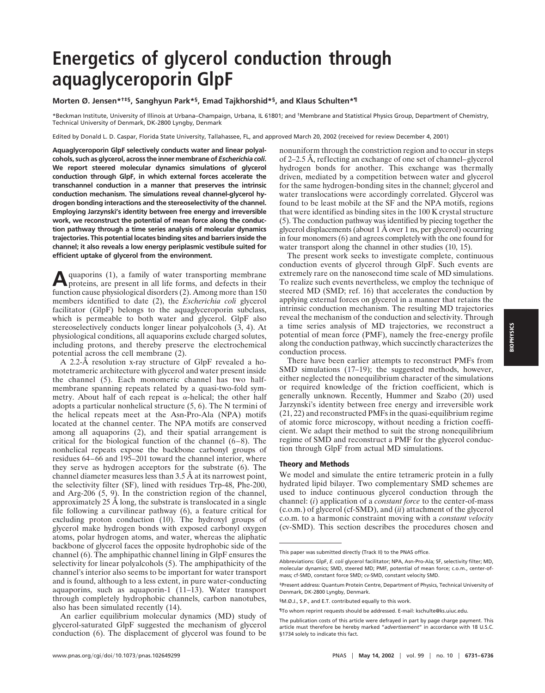# **Energetics of glycerol conduction through aquaglyceroporin GlpF**

## **Morten Ø. Jensen\*†‡§, Sanghyun Park\*§, Emad Tajkhorshid\*§, and Klaus Schulten\*¶**

\*Beckman Institute, University of Illinois at Urbana–Champaign, Urbana, IL 61801; and †Membrane and Statistical Physics Group, Department of Chemistry, Technical University of Denmark, DK-2800 Lyngby, Denmark

Edited by Donald L. D. Caspar, Florida State University, Tallahassee, FL, and approved March 20, 2002 (received for review December 4, 2001)

**Aquaglyceroporin GlpF selectively conducts water and linear polyalcohols, such as glycerol, across the inner membrane of** *Escherichia coli***. We report steered molecular dynamics simulations of glycerol conduction through GlpF, in which external forces accelerate the transchannel conduction in a manner that preserves the intrinsic conduction mechanism. The simulations reveal channel-glycerol hydrogen bonding interactions and the stereoselectivity of the channel. Employing Jarzynski's identity between free energy and irreversible work, we reconstruct the potential of mean force along the conduction pathway through a time series analysis of molecular dynamics trajectories. This potential locates binding sites and barriers inside the channel; it also reveals a low energy periplasmic vestibule suited for efficient uptake of glycerol from the environment.**

**A**quaporins (1), a family of water transporting membrane<br>proteins, are present in all life forms, and defects in their function cause physiological disorders (2). Among more than 150 members identified to date (2), the *Escherichia coli* glycerol facilitator (GlpF) belongs to the aquaglyceroporin subclass, which is permeable to both water and glycerol. GlpF also stereoselectively conducts longer linear polyalcohols (3, 4). At physiological conditions, all aquaporins exclude charged solutes, including protons, and thereby preserve the electrochemical potential across the cell membrane (2).

A 2.2-Å resolution x-ray structure of GlpF revealed a homotetrameric architecture with glycerol and water present inside the channel (5). Each monomeric channel has two halfmembrane spanning repeats related by a quasi-two-fold symmetry. About half of each repeat is  $\alpha$ -helical; the other half adopts a particular nonhelical structure (5, 6). The N termini of the helical repeats meet at the Asn-Pro-Ala (NPA) motifs located at the channel center. The NPA motifs are conserved among all aquaporins (2), and their spatial arrangement is critical for the biological function of the channel  $(6-8)$ . The nonhelical repeats expose the backbone carbonyl groups of residues 64–66 and 195–201 toward the channel interior, where they serve as hydrogen acceptors for the substrate (6). The channel diameter measures less than 3.5 Å at its narrowest point, the selectivity filter (SF), lined with residues Trp-48, Phe-200, and Arg-206 (5, 9). In the constriction region of the channel, approximately 25 Å long, the substrate is translocated in a single file following a curvilinear pathway (6), a feature critical for excluding proton conduction (10). The hydroxyl groups of glycerol make hydrogen bonds with exposed carbonyl oxygen atoms, polar hydrogen atoms, and water, whereas the aliphatic backbone of glycerol faces the opposite hydrophobic side of the channel (6). The amphipathic channel lining in GlpF ensures the selectivity for linear polyalcohols (5). The amphipathicity of the channel's interior also seems to be important for water transport and is found, although to a less extent, in pure water-conducting aquaporins, such as aquaporin-1 (11–13). Water transport through completely hydrophobic channels, carbon nanotubes, also has been simulated recently (14).

An earlier equilibrium molecular dynamics (MD) study of glycerol-saturated GlpF suggested the mechanism of glycerol conduction (6). The displacement of glycerol was found to be

nonuniform through the constriction region and to occur in steps of 2–2.5 Å, reflecting an exchange of one set of channel–glycerol hydrogen bonds for another. This exchange was thermally driven, mediated by a competition between water and glycerol for the same hydrogen-bonding sites in the channel; glycerol and water translocations were accordingly correlated. Glycerol was found to be least mobile at the SF and the NPA motifs, regions that were identified as binding sites in the 100 K crystal structure (5). The conduction pathway was identified by piecing together the glycerol displacements (about 1 Å over 1 ns, per glycerol) occurring in four monomers (6) and agrees completely with the one found for water transport along the channel in other studies (10, 15).

The present work seeks to investigate complete, continuous conduction events of glycerol through GlpF. Such events are extremely rare on the nanosecond time scale of MD simulations. To realize such events nevertheless, we employ the technique of steered MD (SMD; ref. 16) that accelerates the conduction by applying external forces on glycerol in a manner that retains the intrinsic conduction mechanism. The resulting MD trajectories reveal the mechanism of the conduction and selectivity. Through a time series analysis of MD trajectories, we reconstruct a potential of mean force (PMF), namely the free-energy profile along the conduction pathway, which succinctly characterizes the conduction process.

There have been earlier attempts to reconstruct PMFs from SMD simulations (17–19); the suggested methods, however, either neglected the nonequilibrium character of the simulations or required knowledge of the friction coefficient, which is generally unknown. Recently, Hummer and Szabo (20) used Jarzynski's identity between free energy and irreversible work (21, 22) and reconstructed PMFs in the quasi-equilibrium regime of atomic force microscopy, without needing a friction coefficient. We adapt their method to suit the strong nonequilibrium regime of SMD and reconstruct a PMF for the glycerol conduction through GlpF from actual MD simulations.

#### **Theory and Methods**

We model and simulate the entire tetrameric protein in a fully hydrated lipid bilayer. Two complementary SMD schemes are used to induce continuous glycerol conduction through the channel: (*i*) application of a *constant force* to the center-of-mass (c.o.m.) of glycerol (cf-SMD), and (*ii*) attachment of the glycerol c.o.m. to a harmonic constraint moving with a *constant velocity* (cv-SMD). This section describes the procedures chosen and

This paper was submitted directly (Track II) to the PNAS office.

Abbreviations: GlpF, *E. coli* glycerol facilitator; NPA, Asn-Pro-Ala; SF, selectivity filter; MD, molecular dynamics; SMD, steered MD; PMF, potential of mean force; c.o.m., center-ofmass; cf-SMD, constant force SMD; cv-SMD, constant velocity SMD.

<sup>‡</sup>Present address: Quantum Protein Centre, Department of Physics, Technical University of Denmark, DK-2800 Lyngby, Denmark.

<sup>§</sup>M.Ø.J., S.P., and E.T. contributed equally to this work.

<sup>¶</sup>To whom reprint requests should be addressed. E-mail: kschulte@ks.uiuc.edu.

The publication costs of this article were defrayed in part by page charge payment. This article must therefore be hereby marked "*advertisement*" in accordance with 18 U.S.C. §1734 solely to indicate this fact.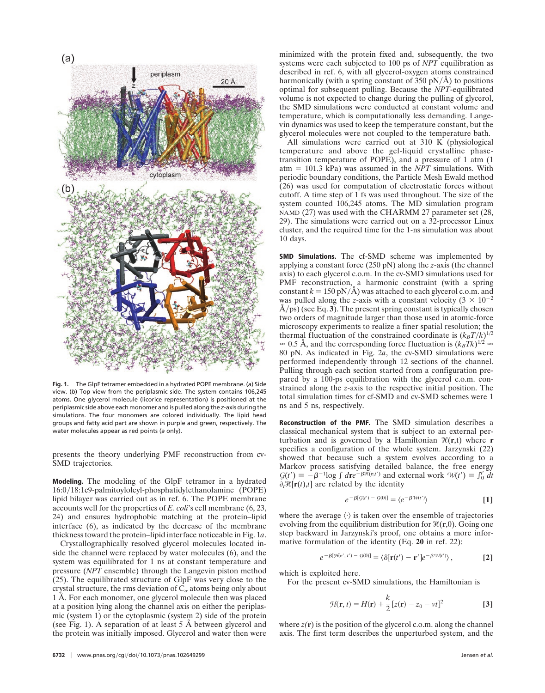

**Fig. 1.** The GlpF tetramer embedded in a hydrated POPE membrane. (*a*) Side view. (*b*) Top view from the periplasmic side. The system contains 106,245 atoms. One glycerol molecule (licorice representation) is positioned at the periplasmic side above each monomer and is pulled along the *z*-axis during the simulations. The four monomers are colored individually. The lipid head groups and fatty acid part are shown in purple and green, respectively. The water molecules appear as red points (*a* only).

presents the theory underlying PMF reconstruction from cv-SMD trajectories.

**Modeling.** The modeling of the GlpF tetramer in a hydrated 16:0/18:1c9-palmitoyloleyl-phosphatidylethanolamine (POPE) lipid bilayer was carried out as in ref. 6. The POPE membrane accounts well for the properties of *E. coli*'s cell membrane (6, 23, 24) and ensures hydrophobic matching at the protein–lipid interface (6), as indicated by the decrease of the membrane thickness toward the protein–lipid interface noticeable in Fig. 1*a*.

Crystallographically resolved glycerol molecules located inside the channel were replaced by water molecules (6), and the system was equilibrated for 1 ns at constant temperature and pressure (*NPT* ensemble) through the Langevin piston method (25). The equilibrated structure of GlpF was very close to the crystal structure, the rms deviation of  $C_{\alpha}$  atoms being only about 1 Å. For each monomer, one glycerol molecule then was placed at a position lying along the channel axis on either the periplasmic (system 1) or the cytoplasmic (system 2) side of the protein (see Fig. 1). A separation of at least 5 Å between glycerol and the protein was initially imposed. Glycerol and water then were minimized with the protein fixed and, subsequently, the two systems were each subjected to 100 ps of *NPT* equilibration as described in ref. 6, with all glycerol-oxygen atoms constrained harmonically (with a spring constant of  $350 \text{ pN/A}$ ) to positions optimal for subsequent pulling. Because the *NPT*-equilibrated volume is not expected to change during the pulling of glycerol, the SMD simulations were conducted at constant volume and temperature, which is computationally less demanding. Langevin dynamics was used to keep the temperature constant, but the glycerol molecules were not coupled to the temperature bath.

All simulations were carried out at 310 K (physiological temperature and above the gel-liquid crystalline phasetransition temperature of POPE), and a pressure of 1 atm (1  $atm = 101.3$  kPa) was assumed in the *NPT* simulations. With periodic boundary conditions, the Particle Mesh Ewald method (26) was used for computation of electrostatic forces without cutoff. A time step of 1 fs was used throughout. The size of the system counted 106,245 atoms. The MD simulation program NAMD (27) was used with the CHARMM 27 parameter set (28, 29). The simulations were carried out on a 32-processor Linux cluster, and the required time for the 1-ns simulation was about 10 days.

**SMD Simulations.** The cf-SMD scheme was implemented by applying a constant force (250 pN) along the *z*-axis (the channel axis) to each glycerol c.o.m. In the cv-SMD simulations used for PMF reconstruction, a harmonic constraint (with a spring constant  $k = 150 \text{ pN/A}$ ) was attached to each glycerol c.o.m. and was pulled along the *z*-axis with a constant velocity  $(3 \times 10^{-2})$  $\AA$ /ps) (see Eq. 3). The present spring constant is typically chosen two orders of magnitude larger than those used in atomic-force microscopy experiments to realize a finer spatial resolution; the thermal fluctuation of the constrained coordinate is  $(k_BT/k)^{1/2}$  $\approx$  0.5 Å, and the corresponding force fluctuation is  $(k_B T k)^{1/2} \approx$ 80 pN. As indicated in Fig. 2*a*, the cv-SMD simulations were performed independently through 12 sections of the channel. Pulling through each section started from a configuration prepared by a 100-ps equilibration with the glycerol c.o.m. constrained along the *z*-axis to the respective initial position. The total simulation times for cf-SMD and cv-SMD schemes were 1 ns and 5 ns, respectively.

**Reconstruction of the PMF.** The SMD simulation describes a classical mechanical system that is subject to an external perturbation and is governed by a Hamiltonian  $\mathcal{H}(\mathbf{r},t)$  where **r** specifies a configuration of the whole system. Jarzynski (22) showed that because such a system evolves according to a Markov process satisfying detailed balance, the free energy  $G(t') = -\beta^{-1} \log \int d\mathbf{r} e^{-\beta \mathcal{H}(\mathbf{r}, t')}$  and external work  $\mathcal{W}(t') = \int_0^{t'} dt$  $\partial_t \mathcal{H}[\mathbf{r}(t),t]$  are related by the identity

$$
e^{-\beta[g(t') - g(0)]} = \langle e^{-\beta \mathcal{W}(t')} \rangle \tag{1}
$$

where the average  $\langle \cdot \rangle$  is taken over the ensemble of trajectories evolving from the equilibrium distribution for  $\mathcal{H}(\mathbf{r},0)$ . Going one step backward in Jarzynski's proof, one obtains a more informative formulation of the identity (Eq. **20** in ref. 22):

$$
e^{-\beta[\mathcal{H}(\mathbf{r}',t')-G(0)]} = \langle \delta[\mathbf{r}(t')-\mathbf{r}']e^{-\beta\mathcal{W}(t')}\rangle, \qquad [2]
$$

which is exploited here.

For the present cv-SMD simulations, the Hamiltonian is

$$
\mathcal{H}(\mathbf{r},t) = H(\mathbf{r}) + \frac{k}{2} [z(\mathbf{r}) - z_0 - vt]^2
$$
 [3]

where  $z(\mathbf{r})$  is the position of the glycerol c.o.m. along the channel axis. The first term describes the unperturbed system, and the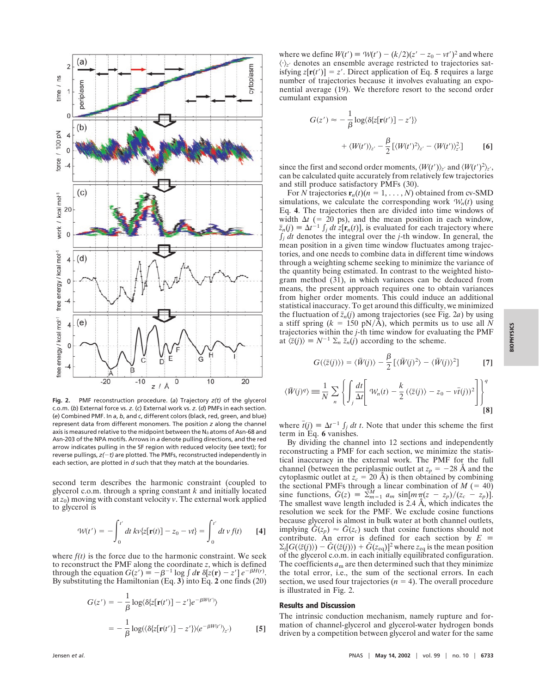

**Fig. 2.** PMF reconstruction procedure. (*a*) Trajectory *z(t)* of the glycerol c.o.m. (*b*) External force vs. *z*. (*c*) External work vs. *z*. (*d*) PMFs in each section. (*e*) Combined PMF. In *a*, *b*, and *c*, different colors (black, red, green, and blue) represent data from different monomers. The position *z* along the channel axis is measured relative to the midpoint between the  $N_{\delta}$  atoms of Asn-68 and Asn-203 of the NPA motifs. Arrows in *a* denote pulling directions, and the red arrow indicates pulling in the SF region with reduced velocity (see text); for reverse pullings, *z(t)* are plotted. The PMFs, reconstructed independently in each section, are plotted in *d* such that they match at the boundaries.

second term describes the harmonic constraint (coupled to glycerol c.o.m. through a spring constant *k* and initially located  $\tilde{a}(z_0)$  moving with constant velocity *v*. The external work applied to glycerol is

$$
\mathcal{W}(t') = -\int_0^{t'} dt \, k v \{z[\mathbf{r}(t)] - z_0 - vt\} = \int_0^{t'} dt \, v \, f(t) \qquad \text{[4]}
$$

where  $f(t)$  is the force due to the harmonic constraint. We seek to reconstruct the PMF along the coordinate *z*, which is defined through the equation  $G(z') \equiv -\beta^{-1} \log \int d\mathbf{r} \, \delta[z(\mathbf{r}) - z'] e^{-\beta H(r)}$ . By substituting the Hamiltonian (Eq. **3**) into Eq. **2** one finds (20)

$$
G(z') = -\frac{1}{\beta} \log \langle \delta \{z[\mathbf{r}(t')] - z'\} e^{-\beta W(t')} \rangle
$$
  
= 
$$
-\frac{1}{\beta} \log \langle \delta \{z[\mathbf{r}(t')] - z'\} \rangle \langle e^{-\beta W(t')} \rangle_{z'} \rangle
$$
 [5]

where we define  $W(t') = W(t') - (k/2)(z' - z_0 - vt')^2$  and where  $\langle \cdot \rangle_{z'}$  denotes an ensemble average restricted to trajectories satisfying  $z[r(t')] = z'$ . Direct application of Eq. 5 requires a large number of trajectories because it involves evaluating an exponential average (19). We therefore resort to the second order cumulant expansion

$$
G(z') \approx -\frac{1}{\beta} \log \langle \delta \{z[\mathbf{r}(t')] - z'\} \rangle
$$

$$
+ \langle W(t') \rangle_{z'} - \frac{\beta}{2} \left[ \langle W(t')^2 \rangle_{z'} - \langle W(t') \rangle_{z'}^2 \right] \qquad [6]
$$

since the first and second order moments,  $\langle W(t') \rangle_{z'}$  and  $\langle W(t')^2 \rangle_{z'}$ , can be calculated quite accurately from relatively few trajectories and still produce satisfactory PMFs (30).

For *N* trajectories  $\mathbf{r}_n(t)$  ( $n = 1, \ldots, N$ ) obtained from cv-SMD simulations, we calculate the corresponding work  $W_n(t)$  using Eq. **4**. The trajectories then are divided into time windows of width  $\Delta t$  (= 20 ps), and the mean position in each window,  $\bar{z}_n(j) = \Delta t^{-1} \int_j dt \, \bar{z}[\mathbf{r}_n(t)]$ , is evaluated for each trajectory where  $\int_{i} dt$  denotes the integral over the *j*-th window. In general, the mean position in a given time window fluctuates among trajectories, and one needs to combine data in different time windows through a weighting scheme seeking to minimize the variance of the quantity being estimated. In contrast to the weighted histogram method (31), in which variances can be deduced from means, the present approach requires one to obtain variances from higher order moments. This could induce an additional statistical inaccuracy. To get around this difficulty, we minimized the fluctuation of  $\bar{z}_n(j)$  among trajectories (see Fig. 2*a*) by using a stiff spring ( $k = 150 \text{ pN/A}$ ), which permits us to use all *N* trajectories within the *j*-th time window for evaluating the PMF at  $\langle \bar{z}(j) \rangle \equiv N^{-1} \sum_{n} \bar{z}_n(j)$  according to the scheme.

$$
G(\langle \bar{z}(j) \rangle) = \langle \bar{W}(j) \rangle - \frac{\beta}{2} \left[ \langle \bar{W}(j)^2 \rangle - \langle \bar{W}(j) \rangle^2 \right] \tag{7}
$$

$$
\langle \bar{W}(j)^q \rangle \equiv \frac{1}{N} \sum_{n} \left\{ \int \frac{dt}{\Delta t} \left[ \mathcal{W}_n(t) - \frac{k}{2} \left( \langle \bar{z}(j) \rangle - z_0 - \nu \bar{t}(j) \right)^2 \right] \right\}^q
$$
\n[8]

where  $\bar{t}(j) = \Delta t^{-1} \int_j dt$  *t*. Note that under this scheme the first term in Eq. **6** vanishes.

By dividing the channel into 12 sections and independently reconstructing a PMF for each section, we minimize the statistical inaccuracy in the external work. The PMF for the full channel (between the periplasmic outlet at  $z_p = -28$  Å and the cytoplasmic outlet at  $z_c = 20$  Å) is then obtained by combining the sectional PMFs through a linear combination of *M* (= 40) sine functions,  $\tilde{G}(z) = \sum_{m=1}^{M} a_m \sin[m\pi(z - z_p)/(z_c - z_p)]$ . The smallest wave length included is 2.4 Å, which indicates the resolution we seek for the PMF. We exclude cosine functions because glycerol is almost in bulk water at both channel outlets, implying  $\tilde{G}(z_p) \approx \tilde{G}(z_c)$  such that cosine functions should not contribute. An error is defined for each section by  $E =$  $\Sigma_j[G(\langle \bar{z}(j) \rangle) - \tilde{G}(\langle \bar{z}(j) \rangle) + \tilde{G}(z_{eq})]^2$  where  $z_{eq}$  is the mean position of the glycerol c.o.m. in each initially equilibrated configuration. The coefficients  $a_m$  are then determined such that they minimize the total error, i.e., the sum of the sectional errors. In each section, we used four trajectories  $(n = 4)$ . The overall procedure is illustrated in Fig. 2.

#### **Results and Discussion**

The intrinsic conduction mechanism, namely rupture and formation of channel-glycerol and glycerol-water hydrogen bonds driven by a competition between glycerol and water for the same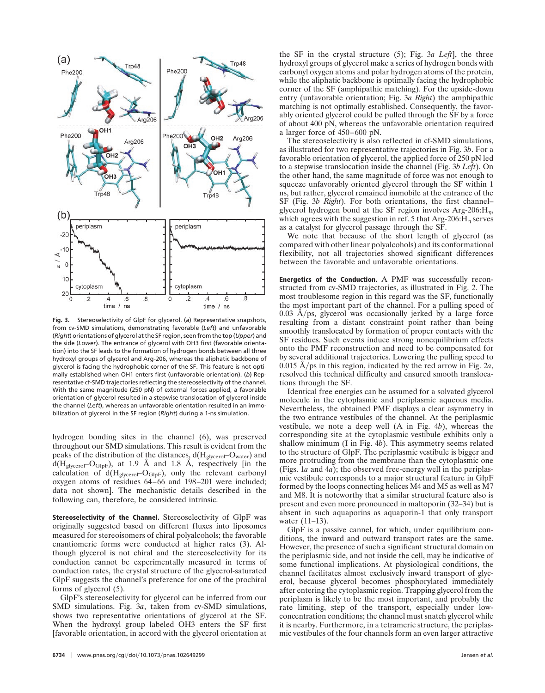

**Fig. 3.** Stereoselectivity of GlpF for glycerol. (*a*) Representative snapshots, from cv-SMD simulations, demonstrating favorable (*Left*) and unfavorable (*Right*) orientations of glycerol at the SF region, seen from the top (*Upper*) and the side (*Lower*). The entrance of glycerol with OH3 first (favorable orientation) into the SF leads to the formation of hydrogen bonds between all three hydroxyl groups of glycerol and Arg-206, whereas the aliphatic backbone of glycerol is facing the hydrophobic corner of the SF. This feature is not optimally established when OH1 enters first (unfavorable orientation). (*b*) Representative cf-SMD trajectories reflecting the stereoselectivity of the channel. With the same magnitude (250 pN) of external forces applied, a favorable orientation of glycerol resulted in a stepwise translocation of glycerol inside the channel (*Left*), whereas an unfavorable orientation resulted in an immobilization of glycerol in the SF region (*Right*) during a 1-ns simulation.

hydrogen bonding sites in the channel (6), was preserved throughout our SMD simulations. This result is evident from the peaks of the distribution of the distances,  $d(H_{glyceroI}-O_{water})$  and d(Hglycerol*–*OGlpF), at 1.9 Å and 1.8 Å, respectively [in the calculation of d(H<sub>glycerol</sub>–O<sub>GlpF</sub>), only the relevant carbonyl oxygen atoms of residues 64–66 and 198–201 were included; data not shown]. The mechanistic details described in the following can, therefore, be considered intrinsic.

**Stereoselectivity of the Channel.** Stereoselectivity of GlpF was originally suggested based on different fluxes into liposomes measured for stereoisomers of chiral polyalcohols; the favorable enantiomeric forms were conducted at higher rates (3). Although glycerol is not chiral and the stereoselectivity for its conduction cannot be experimentally measured in terms of conduction rates, the crystal structure of the glycerol-saturated GlpF suggests the channel's preference for one of the prochiral forms of glycerol (5).

GlpF's stereoselectivity for glycerol can be inferred from our SMD simulations. Fig. 3*a*, taken from cv-SMD simulations, shows two representative orientations of glycerol at the SF. When the hydroxyl group labeled OH3 enters the SF first [favorable orientation, in accord with the glycerol orientation at

the SF in the crystal structure (5); Fig. 3*a Left*], the three hydroxyl groups of glycerol make a series of hydrogen bonds with carbonyl oxygen atoms and polar hydrogen atoms of the protein, while the aliphatic backbone is optimally facing the hydrophobic corner of the SF (amphipathic matching). For the upside-down entry (unfavorable orientation; Fig. 3*a Right*) the amphipathic matching is not optimally established. Consequently, the favorably oriented glycerol could be pulled through the SF by a force of about 400 pN, whereas the unfavorable orientation required a larger force of 450–600 pN.

The stereoselectivity is also reflected in cf-SMD simulations, as illustrated for two representative trajectories in Fig. 3*b*. For a favorable orientation of glycerol, the applied force of 250 pN led to a stepwise translocation inside the channel (Fig. 3*b Left*). On the other hand, the same magnitude of force was not enough to squeeze unfavorably oriented glycerol through the SF within 1 ns, but rather, glycerol remained immobile at the entrance of the SF (Fig. 3*b Right*). For both orientations, the first channel– glycerol hydrogen bond at the SF region involves  $Arg-206:H_n$ , which agrees with the suggestion in ref. 5 that  $Arg-206$ :  $H_n$  serves as a catalyst for glycerol passage through the SF.

We note that because of the short length of glycerol (as compared with other linear polyalcohols) and its conformational flexibility, not all trajectories showed significant differences between the favorable and unfavorable orientations.

**Energetics of the Conduction.** A PMF was successfully reconstructed from cv-SMD trajectories, as illustrated in Fig. 2. The most troublesome region in this regard was the SF, functionally the most important part of the channel. For a pulling speed of 0.03 Å/ps, glycerol was occasionally jerked by a large force resulting from a distant constraint point rather than being smoothly translocated by formation of proper contacts with the SF residues. Such events induce strong nonequilibrium effects onto the PMF reconstruction and need to be compensated for by several additional trajectories. Lowering the pulling speed to  $0.015$  Å/ps in this region, indicated by the red arrow in Fig. 2*a*, resolved this technical difficulty and ensured smooth translocations through the SF.

Identical free energies can be assumed for a solvated glycerol molecule in the cytoplasmic and periplasmic aqueous media. Nevertheless, the obtained PMF displays a clear asymmetry in the two entrance vestibules of the channel. At the periplasmic vestibule, we note a deep well (A in Fig. 4*b*), whereas the corresponding site at the cytoplasmic vestibule exhibits only a shallow minimum (I in Fig. 4*b*). This asymmetry seems related to the structure of GlpF. The periplasmic vestibule is bigger and more protruding from the membrane than the cytoplasmic one (Figs. 1*a* and 4*a*); the observed free-energy well in the periplasmic vestibule corresponds to a major structural feature in GlpF formed by the loops connecting helices M4 and M5 as well as M7 and M8. It is noteworthy that a similar structural feature also is present and even more pronounced in maltoporin (32–34) but is absent in such aquaporins as aquaporin-1 that only transport water (11–13).

GlpF is a passive cannel, for which, under equilibrium conditions, the inward and outward transport rates are the same. However, the presence of such a significant structural domain on the periplasmic side, and not inside the cell, may be indicative of some functional implications. At physiological conditions, the channel facilitates almost exclusively inward transport of glycerol, because glycerol becomes phosphorylated immediately after entering the cytoplasmic region. Trapping glycerol from the periplasm is likely to be the most important, and probably the rate limiting, step of the transport, especially under lowconcentration conditions; the channel must snatch glycerol while it is nearby. Furthermore, in a tetrameric structure, the periplasmic vestibules of the four channels form an even larger attractive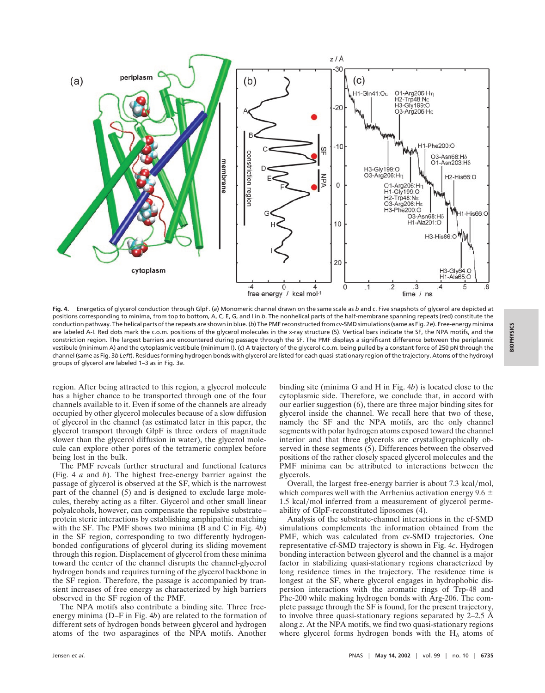

**Fig. 4.** Energetics of glycerol conduction through GlpF. (*a*) Monomeric channel drawn on the same scale as *b* and *c*. Five snapshots of glycerol are depicted at positions corresponding to minima, from top to bottom, A, C, E, G, and I in *b*. The nonhelical parts of the half-membrane spanning repeats (red) constitute the conduction pathway. The helical parts of the repeats are shown in blue. (*b*) The PMF reconstructed from cv-SMD simulations (same as Fig. 2*e*). Free-energy minima are labeled A-I. Red dots mark the c.o.m. positions of the glycerol molecules in the x-ray structure (5). Vertical bars indicate the SF, the NPA motifs, and the constriction region. The largest barriers are encountered during passage through the SF. The PMF displays a significant difference between the periplasmic vestibule (minimum A) and the cytoplasmic vestibule (minimum I). (*c*) A trajectory of the glycerol c.o.m. being pulled by a constant force of 250 pN through the channel (same as Fig. 3*b Left*). Residues forming hydrogen bonds with glycerol are listed for each quasi-stationary region of the trajectory. Atoms of the hydroxyl groups of glycerol are labeled 1–3 as in Fig. 3*a*.

**BIOPHYSICS BIOPHYSICS**

region. After being attracted to this region, a glycerol molecule has a higher chance to be transported through one of the four channels available to it. Even if some of the channels are already occupied by other glycerol molecules because of a slow diffusion of glycerol in the channel (as estimated later in this paper, the glycerol transport through GlpF is three orders of magnitude slower than the glycerol diffusion in water), the glycerol molecule can explore other pores of the tetrameric complex before being lost in the bulk.

The PMF reveals further structural and functional features (Fig. 4 *a* and *b*). The highest free-energy barrier against the passage of glycerol is observed at the SF, which is the narrowest part of the channel (5) and is designed to exclude large molecules, thereby acting as a filter. Glycerol and other small linear polyalcohols, however, can compensate the repulsive substrate– protein steric interactions by establishing amphipathic matching with the SF. The PMF shows two minima (B and C in Fig. 4*b*) in the SF region, corresponding to two differently hydrogenbonded configurations of glycerol during its sliding movement through this region. Displacement of glycerol from these minima toward the center of the channel disrupts the channel-glycerol hydrogen bonds and requires turning of the glycerol backbone in the SF region. Therefore, the passage is accompanied by transient increases of free energy as characterized by high barriers observed in the SF region of the PMF.

The NPA motifs also contribute a binding site. Three freeenergy minima (D–F in Fig. 4*b*) are related to the formation of different sets of hydrogen bonds between glycerol and hydrogen atoms of the two asparagines of the NPA motifs. Another binding site (minima G and H in Fig. 4*b*) is located close to the cytoplasmic side. Therefore, we conclude that, in accord with our earlier suggestion (6), there are three major binding sites for glycerol inside the channel. We recall here that two of these, namely the SF and the NPA motifs, are the only channel segments with polar hydrogen atoms exposed toward the channel interior and that three glycerols are crystallographically observed in these segments  $(5)$ . Differences between the observed positions of the rather closely spaced glycerol molecules and the PMF minima can be attributed to interactions between the glycerols.

Overall, the largest free-energy barrier is about 7.3 kcal/mol, which compares well with the Arrhenius activation energy  $9.6 \pm$ 1.5 kcal/mol inferred from a measurement of glycerol permeability of GlpF-reconstituted liposomes (4).

Analysis of the substrate-channel interactions in the cf-SMD simulations complements the information obtained from the PMF, which was calculated from cv-SMD trajectories. One representative cf-SMD trajectory is shown in Fig. 4*c*. Hydrogen bonding interaction between glycerol and the channel is a major factor in stabilizing quasi-stationary regions characterized by long residence times in the trajectory. The residence time is longest at the SF, where glycerol engages in hydrophobic dispersion interactions with the aromatic rings of Trp-48 and Phe-200 while making hydrogen bonds with Arg-206. The complete passage through the SF is found, for the present trajectory, to involve three quasi-stationary regions separated by 2–2.5 Å along *z*. At the NPA motifs, we find two quasi-stationary regions where glycerol forms hydrogen bonds with the  $H_{\delta}$  atoms of